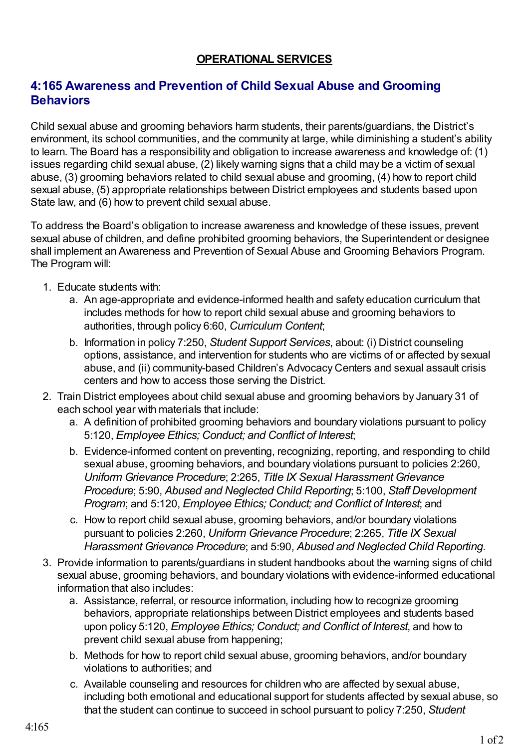## **OPERATIONAL SERVICES**

## **4:165 Awareness and Prevention of Child Sexual Abuse and Grooming Behaviors**

Child sexual abuse and grooming behaviors harm students, their parents/guardians, the District's environment, its school communities, and the community at large, while diminishing a student's ability to learn. The Board has a responsibility and obligation to increase awareness and knowledge of: (1) issues regarding child sexual abuse, (2) likely warning signs that a child may be a victim of sexual abuse, (3) grooming behaviors related to child sexual abuse and grooming, (4) how to report child sexual abuse, (5) appropriate relationships between District employees and students based upon State law, and (6) how to prevent child sexual abuse.

To address the Board's obligation to increase awareness and knowledge of these issues, prevent sexual abuse of children, and define prohibited grooming behaviors, the Superintendent or designee shall implement an Awareness and Prevention of Sexual Abuse and Grooming Behaviors Program. The Program will:

- 1. Educate students with:
	- a. An age-appropriate and evidence-informed health and safety education curriculum that includes methods for how to report child sexual abuse and grooming behaviors to authorities, through policy 6:60, *Curriculum Content*;
	- b. Information in policy 7:250, *Student Support Services*, about: (i) District counseling options, assistance, and intervention for students who are victims of or affected by sexual abuse, and (ii) community-based Children's Advocacy Centers and sexual assault crisis centers and how to access those serving the District.
- 2. Train District employees about child sexual abuse and grooming behaviors by January 31 of each school year with materials that include:
	- a. A definition of prohibited grooming behaviors and boundary violations pursuant to policy 5:120, *Employee Ethics; Conduct; and Conflict of Interest*;
	- b. Evidence-informed content on preventing, recognizing, reporting, and responding to child sexual abuse, grooming behaviors, and boundary violations pursuant to policies 2:260, *Uniform Grievance Procedure*; 2:265, *Title IX Sexual Harassment Grievance Procedure*; 5:90, *Abused and Neglected Child Reporting*; 5:100, *Staff Development Program*; and 5:120, *Employee Ethics; Conduct; and Conflict of Interest*; and
	- c. How to report child sexual abuse, grooming behaviors, and/or boundary violations pursuant to policies 2:260, *Uniform Grievance Procedure*; 2:265, *Title IX Sexual Harassment Grievance Procedure*; and 5:90, *Abused and Neglected Child Reporting*.
- 3. Provide information to parents/guardians in student handbooks about the warning signs of child sexual abuse, grooming behaviors, and boundary violations with evidence-informed educational information that also includes:
	- a. Assistance, referral, or resource information, including how to recognize grooming behaviors, appropriate relationships between District employees and students based upon policy 5:120, *Employee Ethics; Conduct; and Conflict of Interest*, and how to prevent child sexual abuse from happening;
	- b. Methods for how to report child sexual abuse, grooming behaviors, and/or boundary violations to authorities; and
	- c. Available counseling and resources for children who are affected by sexual abuse, including both emotional and educational support for students affected by sexual abuse, so that the student can continue to succeed in school pursuant to policy 7:250, *Student*